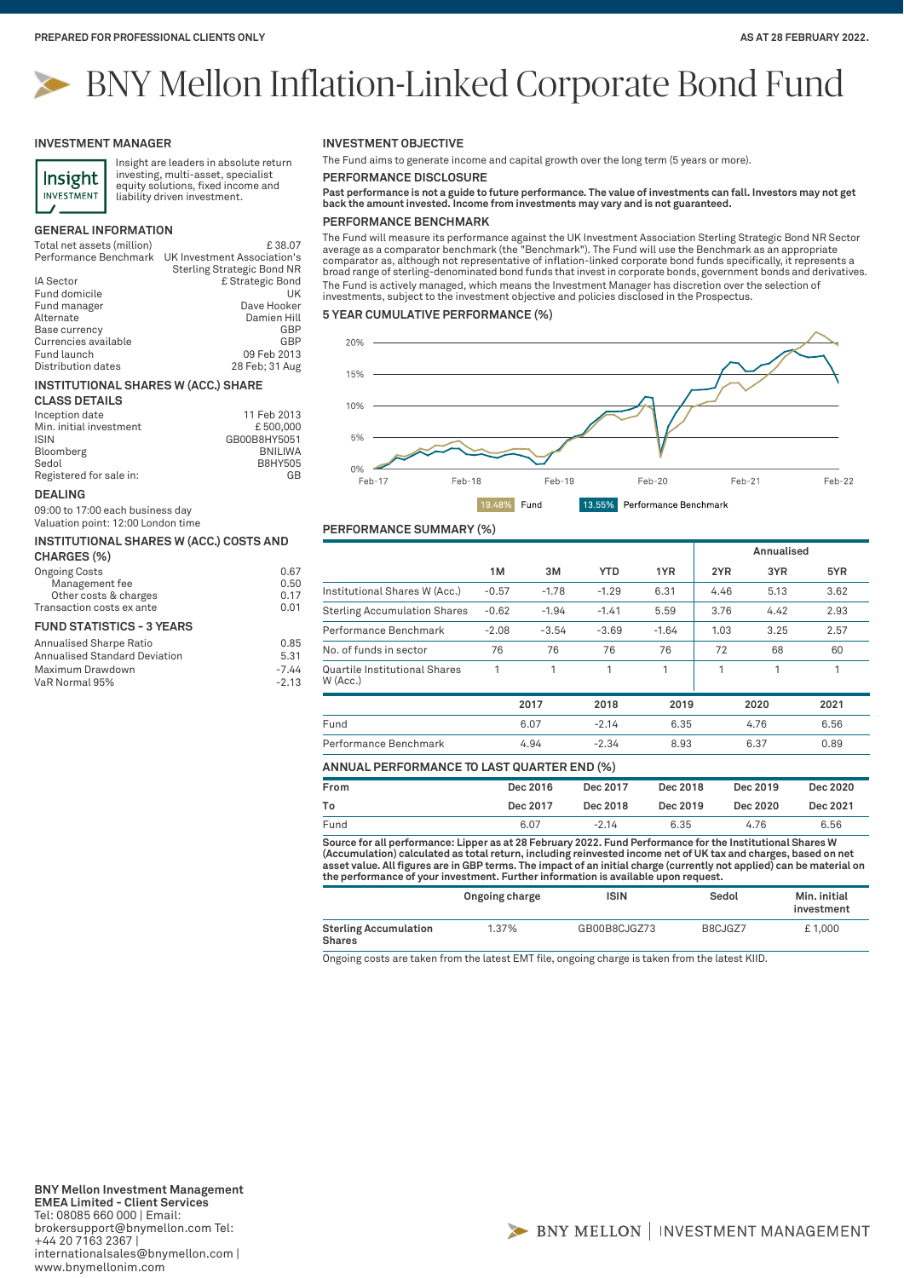# BNY Mellon Inflation-Linked Corporate Bond Fund

#### **INVESTMENT MANAGER**



Insight are leaders in absolute return investing, multi-asset, specialist equity solutions, fixed income and liability driven investment.

#### **GENERAL INFORMATION**

| Total net assets (million) | £38.07                      |
|----------------------------|-----------------------------|
| Performance Benchmark      | UK Investment Association's |
|                            | Sterling Strategic Bond NR  |

| £ Strategic Bond |
|------------------|
|                  |
| UK               |
| Dave Hooker      |
| Damien Hill      |
| GBP              |
| GBP              |
| 09 Feb 2013      |
| 28 Feb; 31 Aug   |
|                  |

#### **INSTITUTIONAL SHARES W (ACC.) SHARE**

| <b>CLASS DETAILS</b>    |                |
|-------------------------|----------------|
| Inception date          | 11 Feb 2013    |
| Min. initial investment | £500,000       |
| <b>ISIN</b>             | GB00B8HY5051   |
| Bloomberg               | <b>BNILIWA</b> |
| Sedol                   | B8HY505        |
| Registered for sale in: | GB             |

#### **DEALING**

09:00 to 17:00 each business day Valuation point: 12:00 London time

| INSTITUTIONAL SHARES W (ACC.) COSTS AND |      |
|-----------------------------------------|------|
| CHARGES (%)                             |      |
| <b>Ongoing Costs</b>                    | 0.67 |

| Management fee                   | 0.50 |
|----------------------------------|------|
| Other costs & charges            | 0.17 |
| Transaction costs ex ante        | 0.01 |
| <b>FUND STATISTICS - 3 YEARS</b> |      |
| Annualised Sharpe Ratio          | 0.85 |

| v.oo    |
|---------|
| 5.31    |
| $-7.44$ |
| $-2.13$ |
|         |

**INVESTMENT OBJECTIVE**

The Fund aims to generate income and capital growth over the long term (5 years or more).

**PERFORMANCE DISCLOSURE**

**Past performance is not a guide to future performance. The value of investments can fall. Investors may not get back the amount invested. Income from investments may vary and is not guaranteed.**

### **PERFORMANCE BENCHMARK**

The Fund will measure its performance against the UK Investment Association Sterling Strategic Bond NR Sector<br>average as a comparator benchmark (the "Benchmark"). The Fund will use the Benchmark as an appropriate<br>comparato broad range of sterling-denominated bond funds that invest in corporate bonds, government bonds and derivatives. The Fund is actively managed, which means the Investment Manager has discretion over the selection of investments, subject to the investment objective and policies disclosed in the Prospectus.

#### **5 YEAR CUMULATIVE PERFORMANCE (%)**



**PERFORMANCE SUMMARY (%)**

# **ANNUAL PERFORMANCE TO LAST QUARTER END (%) Annualised 1M 3M YTD 1YR 2YR 3YR 5YR** Institutional Shares W (Acc.) -0.57 -1.78 -1.29 6.31 4.46 5.13 3.62 Sterling Accumulation Shares -0.62 -1.94 -1.41 5.59 3.76 4.42 2.93 Performance Benchmark -2.08 -3.54 -3.69 -1.64 1.03 3.25 2.57 No. of funds in sector **76** 76 76 76 76 772 68 60 Quartile Institutional Shares W (Acc.) 1 1 1 1 1 1 1 **2017 2018 2019 2020 2021** Fund 6.07 -2.14 6.35 4.76 6.56 Performance Benchmark 4.94 -2.34 8.93 6.37 0.89

| From                                                                                                       | Dec 2016 | Dec 2017 | Dec 2018 | Dec 2019 | Dec 2020 |
|------------------------------------------------------------------------------------------------------------|----------|----------|----------|----------|----------|
| То                                                                                                         | Dec 2017 | Dec 2018 | Dec 2019 | Dec 2020 | Dec 2021 |
| Fund                                                                                                       | 6.07     | $-2.14$  | 6.35     | 4.76     | 6.56     |
| Source for all nerformance: Linner as at 28 February 2022. Fund Performance for the Institutional Shares W |          |          |          |          |          |

Source for all performance: Lipper as at 28 February 2022. Fund Performance for the Institutional Shares W<br>(Accumulation) calculated as total return, including reinvested income net of UK tax and charges, based on net<br>asse **the performance of your investment. Further information is available upon request.**

|                                 | Ongoing charge | ISIN         | Sedol   | Min. initial<br>investment |
|---------------------------------|----------------|--------------|---------|----------------------------|
| Sterling Accumulation<br>Shares | 1.37%          | GB00B8CJGZ73 | B8CJGZ7 | £1.000                     |

Ongoing costs are taken from the latest EMT file, ongoing charge is taken from the latest KIID.